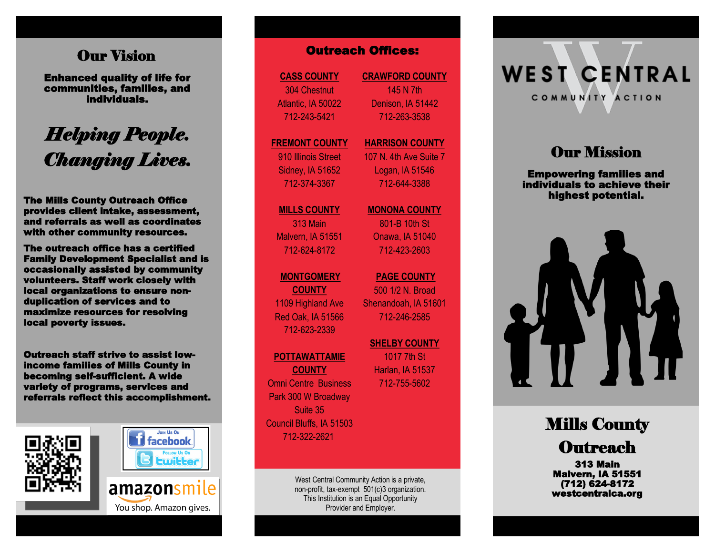## **Our Vision**

Enhanced quality of life for communities, families, and individuals.

# *Helping People. Changing Lives.*

The Mills County Outreach Office provides client intake, assessment, and referrals as well as coordinates with other community resources.

The outreach office has a certified Family Development Specialist and is occasionally assisted by community volunteers. Staff work closely with local organizations to ensure nonduplication of services and to maximize resources for resolving local poverty issues. **Our Vision**<br> **Channel quality of life for**<br>
individuals.<br> **Enhanced quality of life for**<br>
individuals.<br> **Enhanced Manuform Content Content 145 N7th**<br>
Alamic Manuform 2022<br>
20243-5421<br>
20243-5421<br>
20243-5421<br>
20243-5421<br>
2

Outreach staff strive to assist lowincome families of Mills County in becoming self-sufficient. A wide variety of programs, services and







**CASS COUNTY** 304 Chestnut Atlantic, IA 50022 712 -243 -5421

#### **FREMONT COUNTY** 910 Illinois Street

Sidney, IA 51652 712 -374 -3367

**MILLS COUNTY** 313 Main Malvern, IA 51551 712 -624 -8172

#### **MONTGOMERY**

**COUNTY** 1109 Highland Ave Red Oak, IA 51566 712 -623 -2339

#### **POTTAWATTAMIE**

**COUNTY** Omni Centre Business Park 300 W Broadway Suite 35 Council Bluffs, IA 51503 712 -322 -2621

> West Central Community Action is a private, non -profit, tax -exempt 501(c)3 organization. This Institution is an Equal Opportunity Provider and Employer.

**CRAWFORD COUNTY** 145 N 7th Denison, IA 51442 712 -263 -3538

#### **HARRISON COUNTY** 107 N. 4th Ave Suite 7

Logan, IA 51546 712 -644 -3388

**MONONA COUNTY**

801 -B 10th St Onawa, IA 51040 712 -423 -2603

**PAGE COUNTY**  500 1/2 N. Broad Shenandoah, IA 51601 712 -246 -2585

**SHELBY COUNTY**  1017 7th St Harlan, IA 51537 712 -755 -5602

**WEST CENTRAL** COMMUNITY ACTION

# **Our Mission**

Empowering families and individuals to achieve their highest potential.



Mills County **Outreach** 

313 Main Malvern, IA 51551 (712) 624-8172 westcentralca.org

You shop. Amazon gives.

amazonsmile